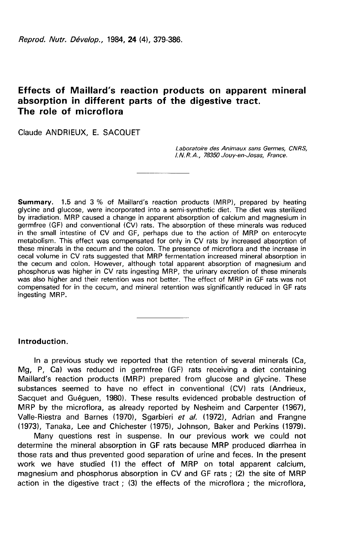# Effects of Maillard's reaction products on apparent mineral absorption in different parts of the digestive tract. The role of microflora

Claude ANDRIEUX. E. SACQUET

Laboratoire des Animaux sans Germes, CNRS, I.N.R.A., 78350 Jouy-en-Josas, France.

Summary. 1.5 and 3 % of Maillard's reaction products (MRP), prepared by heating glycine and glucose, were incorporated into a semi-synthetic diet. The diet was sterilized by irradiation. MRP caused a change in apparent absorption of calcium and magnesium in germfree (GF) and conventional (CV) rats. The absorption of these minerals was reduced in the small intestine of CV and GF, perhaps due to the action of MRP on enterocyte metabolism. This effect was compensated for only in CV rats by increased absorption of these minerals in the cecum and the colon. The presence of microflora and the increase in cecal volume in CV rats suggested that MRP fermentation increased mineral absorption in the cecum and colon. However, although total apparent absorption of magnesium and phosphorus was higher in CV rats ingesting MRP, the urinary excretion of these minerals was also higher and their retention was not better. The effect of MRP in GF rats was not compensated for in the cecum, and mineral retention was significantly reduced in GF rats ingesting MRP.

# Introduction.

In a previous study we reported that the retention of several minerals (Ca, Mg, P, Ca) was reduced in germfree (GF) rats receiving a diet containing Maillard's reaction products (MRP) prepared from glucose and glycine. These substances seemed to have no effect in conventional (CV) rats (Andrieux, Sacquet and Guéguen, 1980). These results evidenced probable destruction of MRP by the microflora, as already reported by Nesheim and Carpenter (1967), Valle-Riestra and Barnes (1970), Sgarbieri et al. (1972), Adrian and Frangne (1973), Tanaka, Lee and Chichester (1975), Johnson, Baker and Perkins (1979).

Many questions rest in suspense. In our previous work we could not determine the mineral absorption in GF rats because MRP produced diarrhea in those rats and thus prevented good separation of urine and feces. In the present work we have studied (1) the effect of MRP on total apparent calcium, magnesium and phosphorus absorption in CV and GF rats ; (2) the site of MRP action in the digestive tract ; (3) the effects of the microflora ; the microflora,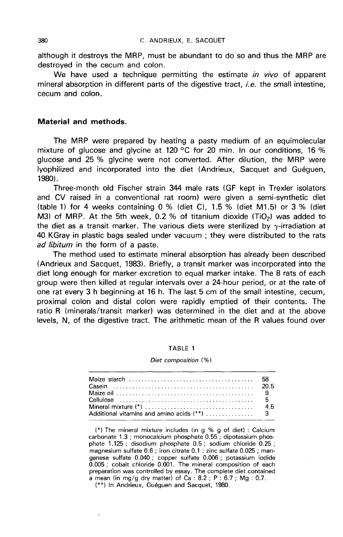although it destroys the MRP, must be abundant to do so and thus the MRP are destroyed in the cecum and colon.

We have used a technique permitting the estimate in vivo of apparent mineral absorption in different parts of the digestive tract, *i.e.* the small intestine, cecum and colon.

# Material and methods.

The MRP were prepared by heating a pasty medium of an equimolecular mixture of glucose and glycine at 120 °C for 20 min. In our conditions, 16 % glucose and 25 % glycine were not converted. After dilution, the MRP were lyophilized and incorporated into the diet (Andrieux, Sacquet and Gu6guen, 19801.

Three-month old Fischer strain 344 male rats (GF kept in Trexler isolators and CV raised in a conventional rat room) were given a semi-synthetic diet and CV raised in a conventional rat room) were given a semi-synthetic diet<br>(table 1) for 4 weeks containing 0 % (diet C), 1.5 % (diet M1.5) or 3 % (diet<br>M3) of MRP. At the 5th week, 0.2 % of titanium dioxide (TiO<sub>2</sub>) was the diet as a transit marker. The various diets were sterilized by  $\gamma$ -irradiation at 40 KGray in plastic bags sealed under vacuum ; they were distributed to the rats ad libitum in the form of a paste.

The method used to estimate mineral absorption has already been described (Andrieux and Sacquet, 1983). Briefly, a transit marker was incorporated into the diet long enough for marker excretion to equal marker intake. The 8 rats of each group were then killed at regular intervals over a 24-hour period, or at the rate of one rat every 3 h beginning at 16 h. The last 5 cm of the small intestine, cecum, proximal colon and distal colon were rapidly emptied of their contents. The ratio R (minerals/transit marker) was determined in the diet and at the above levels, N, of the digestive tract. The arithmetic mean of the R values found over

#### TABLE 1

#### Diet composition (%)

(\*) The mineral mixture includes (in  $q \% q$  of diet) : Calcium carbonate 1.3 ; monocalcium phosphate 0.55 ; dipotassium phosphate 1.125 ; disodium phosphate 0.5 ; sodium chloride 0.25 ; magnesium sulfate 0.6 ; iron citrate 0.1 ; zinc sulfate 0.025 ; manganese sulfate 0.040 ; copper sulfate 0.006 ; potassium iodide  $0.005$ ; cobalt chloride  $0.001$ . The mineral composition of each preparation was controlled by essay. The complete diet contained a mean (in mg/g dry matter) of  $Ca: 8.2 : P: 6.7 : Mg: 0.7$ .

(\*\*) In Andrieux, Guéguen and Sacquet, 1980.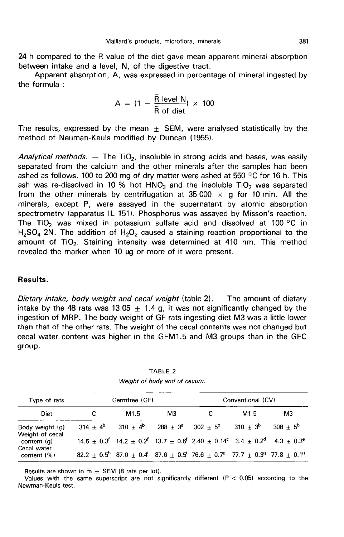24 h compared to the R value of the diet gave mean apparent mineral absorption between intake and a level. N, of the digestive tract.

Apparent absorption, A, was expressed in percentage of mineral ingested by the formula :

$$
A = (1 - \frac{\overline{R} \text{ level } N}{\overline{R} \text{ of diet}}) \times 100
$$

The results, expressed by the mean  $\pm$  SEM, were analysed statistically by the method of Neuman-Keuls modified by Duncan (1955).

Analytical methods. — The TiO<sub>2</sub>, insoluble in strong acids and bases, was easily separated from the calcium and the other minerals after the samples had been ashed as follows. 100 to 200 mg of dry matter were ashed at 550 °C for 16 h. This separated from the calcium and the other minerals after the samples had been<br>ashed as follows. 100 to 200 mg of dry matter were ashed at 550 °C for 16 h. This<br>ash was re-dissolved in 10 % hot HNO<sub>3</sub> and the insoluble TiO<sub></sub> from the other minerals by centrifugation at 35 000  $\times$  g for 10 min. All the minerals, except P, were assayed in the supernatant by atomic absorption spectrometry (apparatus IL 151). Phosphorus was assayed by Misson's reaction.<br>The TiO<sub>2</sub> was mixed in potassium sulfate acid and dissolved at 100 °C in<br>H<sub>2</sub>SO<sub>4</sub> 2N. The addition of H<sub>2</sub>O<sub>2</sub> caused a staining reaction pro The TiO<sub>2</sub> was mixed in potassium sulfate acid and dissolved at 100 °C in  $H_2SO_4$  2N. The addition of  $H_2O_2$  caused a staining reaction proportional to the amount of TiO<sub>2</sub>. Staining intensity was determined at 410 nm. revealed the marker when  $10 \mu$ g or more of it were present.

# Results.

Dietary intake, body weight and cecal weight (table  $2$ ).  $-$  The amount of dietary intake by the 48 rats was 13.05  $+$  1.4 g, it was not significantly changed by the ingestion of MRP. The body weight of GF rats ingesting diet M3 was a little lower than that of the other rats. The weight of the cecal contents was not changed but cecal water content was higher in the GFM1.5 and M3 groups than in the GFC group.

| Type of rats                       | Germfree (GF) |                  |    | Conventional (CV)                                                                                                                                                 |      |             |  |
|------------------------------------|---------------|------------------|----|-------------------------------------------------------------------------------------------------------------------------------------------------------------------|------|-------------|--|
| <b>Diet</b>                        |               | M <sub>1.5</sub> | MЗ |                                                                                                                                                                   | M1.5 | MЗ          |  |
| Body weight (g)<br>Weight of cecal |               |                  |    | $314 \pm 4^b$ $310 \pm 4^b$ $288 \pm 3^a$ $302 \pm 5^b$ $310 \pm 3^b$                                                                                             |      | $308 + 5^6$ |  |
| content (g)                        |               |                  |    | $14.5 \pm 0.3^{\circ}$ 14.2 $\pm$ 0.2 <sup>f</sup> 13.7 $\pm$ 0.6 <sup>f</sup> 2.40 $\pm$ 0.14 <sup>c</sup> 3.4 $\pm$ 0.2 <sup>d</sup> 4.3 $\pm$ 0.3 <sup>e</sup> |      |             |  |
| Cecal water<br>content $(\%)$      |               |                  |    | $82.2 \pm 0.5^{\circ}$ 87.0 $\pm$ 0.4' 87.6 $\pm$ 0.5' 76.6 $\pm$ 0.7 <sup>9</sup> 77.7 $\pm$ 0.3 <sup>9</sup> 77.8 $\pm$ 0.1 <sup>9</sup>                        |      |             |  |

TABLE 2 Weight of body and of cecum.

Results are shown in  $\overline{m}$   $\pm$  SEM (8 rats per lot).

Values with the same superscript are not significantly different  $(P < 0.05)$  according to the Newman-Keuls test.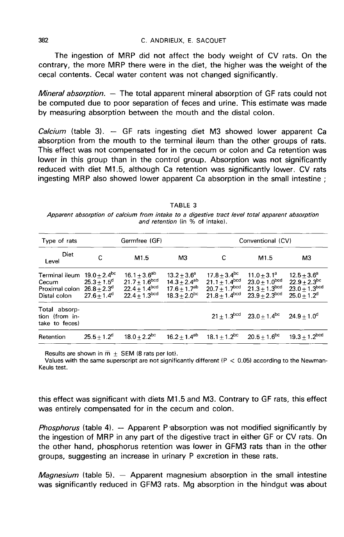### C. ANDRIEUX. E. SACOUFT

The ingestion of MRP did not affect the body weight of CV rats. On the contrary, the more MRP there were in the diet, the higher was the weight of the cecal contents. Cecal water content was not changed significantly.

*Mineral absorption.*  $-$  The total apparent mineral absorption of GF rats could not be computed due to poor separation of feces and urine. This estimate was made by measuring absorption between the mouth and the distal colon.

*Calcium* (table 3).  $-$  GF rats ingesting diet M3 showed lower apparent Ca absorption from the mouth to the terminal ileum than the other groups of rats. This effect was not compensated for in the cecum or colon and Ca retention was lower in this group than in the control group. Absorption was not significantly reduced with diet M1.5, although Ca retention was significantly lower. CV rats ingesting MRP also showed lower apparent Ca absorption in the small intestine ;

TABLE 3 Apparent absorption of calcium from intake to a digestive tract level total apparent absorption and retention (in % of intake).

| Type of rats<br>Diet<br>Level                                                                                            |                | Germfree (GF)                                                                                         |                                                                                          | Conventional (CV)                                                                         |                                                                                    |                                                                               |
|--------------------------------------------------------------------------------------------------------------------------|----------------|-------------------------------------------------------------------------------------------------------|------------------------------------------------------------------------------------------|-------------------------------------------------------------------------------------------|------------------------------------------------------------------------------------|-------------------------------------------------------------------------------|
|                                                                                                                          | С              | M <sub>1.5</sub>                                                                                      | M3                                                                                       | C                                                                                         | M <sub>1.5</sub>                                                                   | M3                                                                            |
| Terminal ileum $19.0 + 2.4^{bc}$<br>Cecum $25.3 \pm 1.5^d$<br>Proximal colon $26.8 \pm 2.3$ <sup>d</sup><br>Distal colon | $27.6 + 1.4^d$ | $16.1 + 3.6^{ab}$<br>$21.7 + 1.6^{bcd}$<br>$22.4 \pm 1.4^{\text{bcd}}$<br>$22.4 + 1.3$ <sup>bcd</sup> | $13.2 + 3.6^a$<br>$14.3 + 2.4^{ab}$<br>$17.6 + 1.7$ <sup>ab</sup><br>$18.3 \pm 2.0^{bc}$ | $17.8 \pm 3.4^{\rm DC}$<br>$21.1 + 1.4^{bcd}$<br>$20.7 + 1.7^{bcd}$<br>$21.8 + 1.4^{bcd}$ | $11.0 + 3.1^a$<br>$23.0 \pm 1.0^{bcd}$<br>$21.3 + 1.3^{bcd}$<br>$23.9 + 2.3^{bcd}$ | $12.5 + 3.6^a$<br>$22.9 \pm 2.3^{bc}$<br>$23.0 + 1.3^{bcd}$<br>$25.0 + 1.2^d$ |
| Total absorp-<br>tion (from in-<br>take to feces)                                                                        |                |                                                                                                       |                                                                                          |                                                                                           | $21 + 1.3^{\text{bcd}}$ $23.0 + 1.4^{\text{bc}}$ $24.9 + 1.0^{\text{d}}$           |                                                                               |
| Retention                                                                                                                | $25.5 + 1.2^d$ |                                                                                                       |                                                                                          | $18.0 \pm 2.2^{\text{bc}}$ $16.2 \pm 1.4^{\text{ab}}$ $18.1 \pm 1.2^{\text{bc}}$          | $20.5 \pm 1.6^{\mathrm{bc}}$                                                       | $19.3 \pm 1.2^{\text{bcd}}$                                                   |

Results are shown in  $\overline{m}$  + SEM (8 rats per lot).

Values with the same superscript are not significantly different  $(P < 0.05)$  according to the Newman-Keuls test.

this effect was significant with diets M1.5 and M3. Contrary to GF rats, this effect was entirely compensated for in the cecum and colon.

*Phosphorus* (table 4).  $-$  Apparent P absorption was not modified significantly by the ingestion of MRP in any part of the digestive tract in either GF or CV rats. On the other hand, phosphorus retention was lower in GFM3 rats than in the other groups, suggesting an increase in urinary P excretion in these rats.

*Magnesium* (table 5).  $-$  Apparent magnesium absorption in the small intestine was significantly reduced in GFM3 rats. Mg absorption in the hindgut was about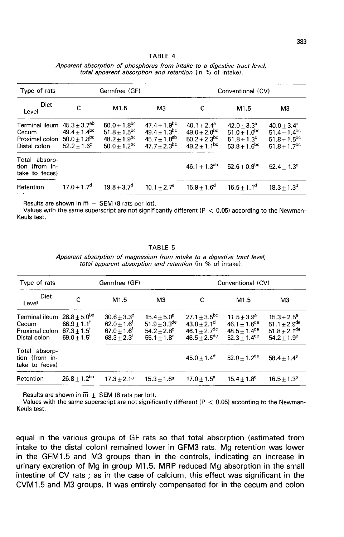| TABLE |  |
|-------|--|
|-------|--|

| Type of rats<br>Diet<br>Level                                                                                                                |                | Germfree (GF)                                                                                               |                                                                                                      | Conventional (CV)                                                                      |                                                                                     |                                                                                                     |
|----------------------------------------------------------------------------------------------------------------------------------------------|----------------|-------------------------------------------------------------------------------------------------------------|------------------------------------------------------------------------------------------------------|----------------------------------------------------------------------------------------|-------------------------------------------------------------------------------------|-----------------------------------------------------------------------------------------------------|
|                                                                                                                                              | с              | M <sub>1.5</sub>                                                                                            | M3                                                                                                   | C                                                                                      | M1.5                                                                                | MЗ                                                                                                  |
| Terminal ileum $45.3 + 3.7$ <sup>ab</sup><br>Cecum $49.4 + 1.4$ <sup>bc</sup><br>Proximal colon $50.0 \pm 1.8$ <sup>bc</sup><br>Distal colon | $52.2 + 1.6^c$ | $50.0 + 1.8$ <sup>bc</sup><br>$51.8 + 1.5$ <sup>bc</sup><br>$48.2 + 1.9$ <sup>bc</sup><br>$50.0 + 1.2^{bc}$ | $47.4 \pm 1.9$ <sup>bc</sup><br>$49.4 + 1.3$ <sup>bc</sup><br>$45.7 + 1.8^{ab}$<br>$47.7 + 2.3^{bc}$ | $40.1 + 2.4^a$<br>$49.0 + 2.0^{bc}$<br>$50.2 + 2.3$ <sup>bc</sup><br>$49.2 + 1.1^{bc}$ | $42.0 + 3.3^a$<br>$51.0 + 1.0^{bc}$<br>$51.8 + 1.3^c$<br>$53.8 + 1.6$ <sup>bc</sup> | $40.0 + 3.4^a$<br>51.4 $\pm$ 1.4 <sup>bc</sup><br>51.8 $\pm$ 1.5 <sup>bc</sup><br>$51.8 + 1.7^{bc}$ |
| Total absorp-<br>tion (from in-<br>take to feces)                                                                                            |                |                                                                                                             |                                                                                                      | $46.1 \pm 1.3^{ab}$                                                                    | $52.6 + 0.9$ <sup>bc</sup>                                                          | $52.4 + 1.3^{\circ}$                                                                                |
| Retention                                                                                                                                    | $17.0 + 1.7d$  | $19.8 + 3.7^{\circ}$                                                                                        | $10.1 + 2.7^e$                                                                                       | $15.9 + 1.6^d$                                                                         | $16.5 + 1.1^d$                                                                      | $18.3 + 1.3^{\circ}$                                                                                |

Apparent absorption of phosphorus from intake to a digestive tract level, total apparent absorption and retention (in % of intake).

Results are shown in  $\overline{m}$  + SEM (8 rats per lot).

Values with the same superscript are not significantly different  $(P < 0.05)$  according to the Newman-Keuls test.

#### TABLE 5

Apparent absorption of magnesium from intake to a digestive tract level, total apparent absorption and retention (in % of intake).

| Type of rats<br>Diet<br>Level                                                                         |                                                        | Germfree (GF)                                                                                      |                                                                                               | Conventional (CV)                                                                                 |                                                                                                          |                                                                                                |
|-------------------------------------------------------------------------------------------------------|--------------------------------------------------------|----------------------------------------------------------------------------------------------------|-----------------------------------------------------------------------------------------------|---------------------------------------------------------------------------------------------------|----------------------------------------------------------------------------------------------------------|------------------------------------------------------------------------------------------------|
|                                                                                                       | c                                                      | M <sub>1.5</sub>                                                                                   | M <sub>3</sub>                                                                                | C                                                                                                 | M1.5                                                                                                     | M3                                                                                             |
| Terminal ileum $28.8 + 5.0^{6c}$<br>Cecum<br>Proximal colon $67.3 + 1.5$ <sup>f</sup><br>Distal colon | $66.9 + 1.1$ <sup>f</sup><br>$69.0 + 1.5$ <sup>f</sup> | $30.6 + 3.3^{\circ}$<br>$62.0 + 1.6$ <sup>f</sup><br>$67.0 + 1.6$ <sup>f</sup><br>$68.3 + 2.3^{f}$ | $15.4 + 5.0^a$<br>$51.9 + 3.3$ <sup>de</sup><br>$54.2 + 2.8^e$<br>55.1 $\pm$ 1.8 <sup>e</sup> | $27.1 \pm 3.5^{bc}$<br>$43.8 + 2.1^d$<br>$46.1 + 2.7$ <sup>de</sup><br>$46.5 + 2.5$ <sup>de</sup> | $11.5 + 3.9^a$<br>$46.1 + 1.6$ <sup>de</sup><br>$48.5 + 1.4$ <sup>de</sup><br>$52.3 + 1.4$ <sup>de</sup> | $15.3 + 2.5^a$<br>51.1 $\pm$ 2.9 <sup>de</sup><br>$51.8 + 2.1$ <sup>de</sup><br>$54.2 + 1.9^e$ |
| Total absorp-<br>tion (from in-<br>take to feces)                                                     |                                                        |                                                                                                    |                                                                                               | $45.0 \pm 1.4^d$                                                                                  | $52.0 \pm 1.2^{\rm de}$                                                                                  | $58.4 + 1.4^e$                                                                                 |
| Retention                                                                                             | $26.8 \pm 1.2^{\rm bc}$                                | $17.3 + 2.1a$                                                                                      | $15.3 + 1.6^a$                                                                                | $17.0 + 1.5^a$                                                                                    | $15.4 + 1.8^a$                                                                                           | $16.5 + 1.3^a$                                                                                 |

Results are shown in  $\overline{m}$  + SEM (8 rats per lot).

Values with the same superscript are not significantly different ( $P < 0.05$ ) according to the Newman-Keuls test.

equal in the various groups of GF rats so that total absorption (estimated from intake to the distal colon) remained lower in GFM3 rats. Mg retention was lower in the GFM1.5 and M3 groups than in the controls, indicating an increase in urinary excretion of Mg in group M1.5. MRP reduced Mg absorption in the small intestine of CV rats ; as in the case of calcium, this effect was significant in the CVM1.5 and M3 groups. It was entirely compensated for in the cecum and colon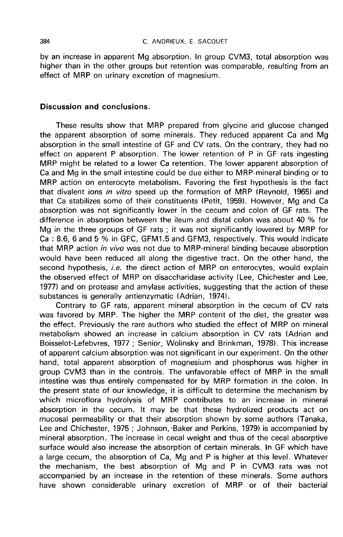by an increase in apparent Mg absorption. In group CVM3, total absorption was higher than in the other groups but retention was comparable, resulting from an effect of MRP on urinary excretion of magnesium.

# Discussion and conclusions.

These results show that MRP prepared from glycine and glucose changed the apparent absorption of some minerals. They reduced apparent Ca and Mg absorption in the small intestine of GF and CV rats. On the contrary, they had no effect on apparent P absorption. The lower retention of P in GF rats ingesting MRP might be related to a lower Ca retention. The lower apparent absorption of Ca and Mg in the small intestine could be due either to MRP-mineral binding or to MRP action on enterocyte metabolism. Favoring the first hypothesis is the fact that divalent ions in vitro speed up the formation of MRP (Reynold, 1965) and that Ca stabilizes some of their constituents (Petit, 1959). However, Mg and Ca absorption was not significantly lower in the cecum and colon of GF rats. The difference in absorption between the ileum and distal colon was about 40 % for Mg in the three groups of GF rats ; it was not significantly lowered by MRP for Ca : 8.6, 6 and 5 % in GFC, GFM1.5 and GFM3, respectively. This would indicate that MRP action in vivo was not due to MRP-mineral binding because absorption would have been reduced all along the digestive tract. On the other hand, the second hypothesis, *i.e.* the direct action of MRP on enterocytes, would explain the observed effect of MRP on disaccharidase activity (Lee, Chichester and Lee, 1977) and on protease and amylase activities, suggesting that the action of these substances is generally antienzymatic (Adrian, 1974).

Contrary to GF rats, apparent mineral absorption in the cecum of CV rats was favored by MRP. The higher the MRP content of the diet, the greater was the effect. Previously the rare authors who studied the effect of MRP on mineral metabolism showed an increase in calcium absorption in CV rats (Adrian and Boisselot-Lefebvres, 1977 ; Senior, Wolinsky and Brinkman, 1978). This increase of apparent calcium absorption was not significant in our experiment. On the other hand, total apparent absorption of magnesium and phosphorus was higher in group CVM3 than in the controls. The unfavorable effect of MRP in the small intestine was thus entirely compensated for by MRP. formation in the colon. In the present state of our knowledge, it is difficult to determine the mechanism by which microflora hydrolysis of MRP contributes to an increase in mineral absorption in the cecum. It may be that these hydrolized products act on mucosal permeability or that their absorption shown by some authors (Tanaka, Lee and Chichester, 1975 ; Johnson, -Baker and Perkins, 1979) is accompanied by mineral absorption. The increase in cecal weight and thus of the cecal absorptive surface would also increase the absorption of certain minerals. In GF which have a large cecum, the absorption of Ca, Mg and P is higher at this level. Whatever the mechanism, the best absorption of Mg and P in CVM3 rats was not accompanied by an increase in the retention of these minerals. Some authors have shown considerable urinary excretion of MRP or of their bacterial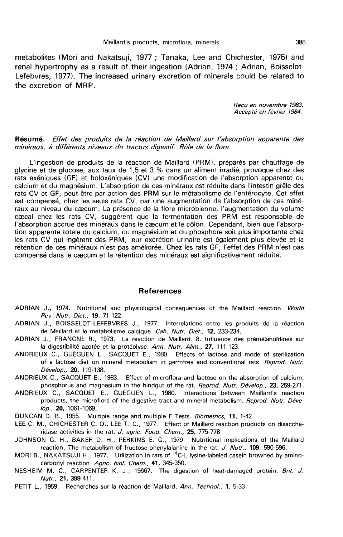metabolites (Mori and Nakatsuji, 1977 ; Tanaka, Lee and Chichester, 1975) and renal hypertrophy as a result of their ingestion (Adrian, 1974 ; Adrian, Boisselot-Lefebvres, 1977). The increased urinary excretion of minerals could be related to the excretion of MRP.

> Reçu en novembre 1983. Accepte en février 1984.

## Résumé. Effet des produits de la réaction de Maillard sur l'absorption apparente des minéraux, à différents niveaux du tractus digestif. Rôle de la flore.

L'ingestion de produits de la réaction de Maillard (PRM), préparés par chauffage de glycine et de glucose, aux taux de 1,5 et 3 % dans un aliment irradié, provoque chez des rats axéniques (GF) et holoxéniques (CV) une modification de l'absorption apparente du calcium et du magnésium. L'absorption de ces minéraux est réduite dans l'intestin grêle des rats CV et GF, peut-être par action des PRM sur le métabolisme de l'entérocyte. Cet effet est compensé, chez les seuls rats CV, par une augmentation de l'absorption de ces minéraux au niveau du caecum. La présence de la flore microbienne, l'augmentation du volume caecal chez les rats CV, suggèrent que la fermentation des PRM est responsable de l'absorption accrue des minéraux dans le caecum et le côlon. Cependant, bien que l'absorption apparente totale du calcium, du magnésium et du phosphore soit plus importante chez les rats CV qui ingèrent des PRM, leur excrétion urinaire est également plus élevée et la rétention de ces minéraux n'est pas améliorée. Chez les rats GF, l'effet des PRM n'est pas compensé dans le caecum et la rétention des minéraux est significativement réduite.

#### References

- ADRIAN J., 1974. Nutritional and physiological consequences of the Maillard reaction. World Rev. Nutr. Diet., 19, 71-122.
- ADRIAN J., BOISSELOT-LEFEBVRES J., 1977. Interrelations entre les produits de la reaction de Maillard et le métabolisme calcique. Cah. Nutr. Diet., 12, 233-234.
- ADRIAN J., FRANGNE R., 1973. La réaction de Maillard. 8. Influence des prémélanoïdines sur la digestibilité azotée et la protéolyse. Ann. Nutr. Alim., 27, 111-123.
- ANDRIEUX C., GUEGUEN L., SACQUET E., 1980. Effects of lactose and mode of sterilization of a lactose diet on mineral metabolism in germfree and conventional rats. Reprod. Nutr. Dévelop., 20, 119-138.
- ANDRIEUX C., SACQUET E., 1983. Effect of microflora and lactose on the absorption of calcium, phosphorus and magnesium in the hindgut of the rat. Reprod. Nutr. Dévelop., 23, 259-271.
- ANDRIEUX C., SACQUET E., GUEGUEN L., 1980. Interactions between Maillard's reaction products, the microflora of the digestive tract and mineral metabolism. Reprod. Nutr. Déve-/op., 20, 1061-1069.
- DUNCAN D. B., 1955. Multiple range and multiple F Tests. Biometrics, 11, 1-42.
- LEE C. M., CHICHESTER C. 0., LEE T. C., 1977. Effect of Maillard reaction products on disaccharidase activities in the rat. J. agric. Food. Chem., 25, 775-778.
- JOHNSON G. H., BAKER D. H., PERKINS E. G., 1979. Nutritional implications of the Maillard reaction. The metabolism of fructose-phenylalanine in the rat. J. Nutr., 109, 590-596.
- MORI B., NAKATSUJI H., 1977. Utilization in rats of <sup>14</sup>C-L lysine-labeled casein browned by aminocarbonyl reaction. Agric. biol. Chem., 41, 345-350.
- NESHEIM M. C., CARPENTER K. J., 19667. The digestion of heat-damaged protein. Brit. J. Nutr., 21, 399-411.
- PETIT L., 1959. Recherches sur la réaction de Maillard. Ann. Technol., 1, 5-33.